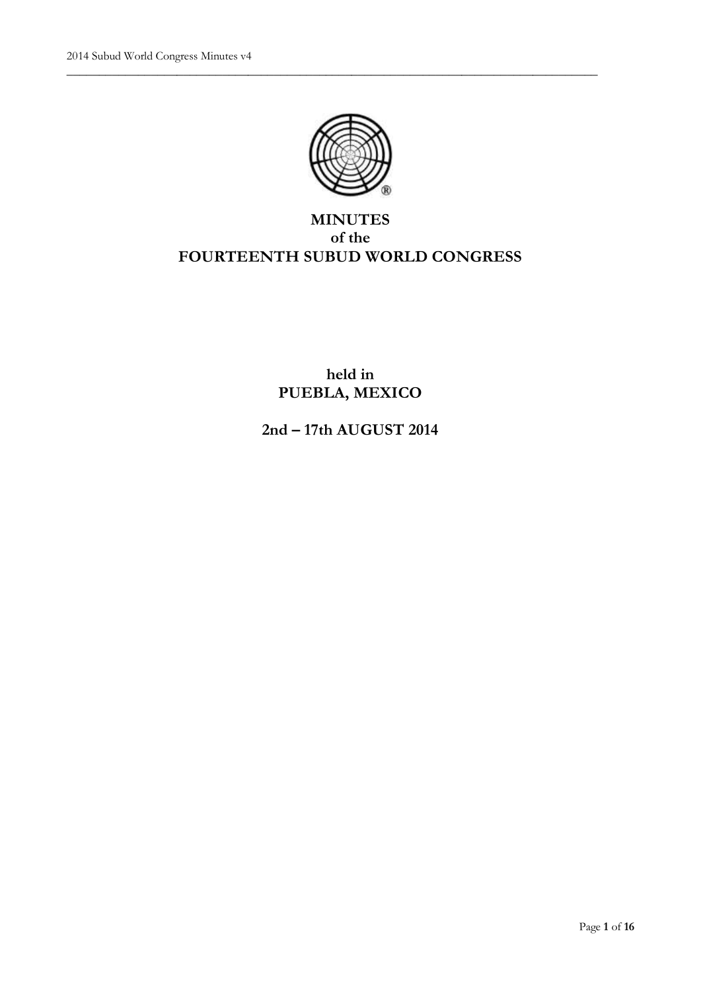

\_\_\_\_\_\_\_\_\_\_\_\_\_\_\_\_\_\_\_\_\_\_\_\_\_\_\_\_\_\_\_\_\_\_\_\_\_\_\_\_\_\_\_\_\_\_\_\_\_\_\_\_\_\_\_\_\_\_\_\_\_\_\_\_\_\_\_\_\_\_\_\_\_\_\_\_\_\_\_\_\_\_

# **MINUTES of the FOURTEENTH SUBUD WORLD CONGRESS**

# **held in PUEBLA, MEXICO**

**2nd – 17th AUGUST 2014**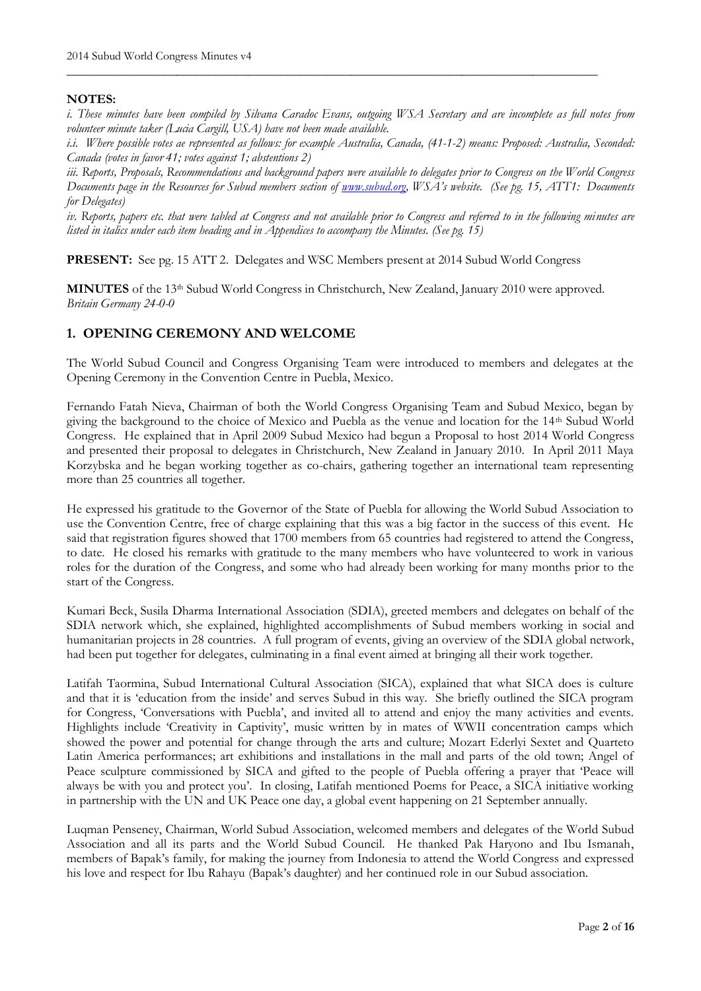## **NOTES:**

*i. These minutes have been compiled by Silvana Caradoc Evans, outgoing WSA Secretary and are incomplete as full notes from volunteer minute taker (Lucia Cargill, USA) have not been made available.*

\_\_\_\_\_\_\_\_\_\_\_\_\_\_\_\_\_\_\_\_\_\_\_\_\_\_\_\_\_\_\_\_\_\_\_\_\_\_\_\_\_\_\_\_\_\_\_\_\_\_\_\_\_\_\_\_\_\_\_\_\_\_\_\_\_\_\_\_\_\_\_\_\_\_\_\_\_\_\_\_\_\_

*i.i. Where possible votes ae represented as follows: for example Australia, Canada, (41-1-2) means: Proposed: Australia, Seconded: Canada (votes in favor 41; votes against 1; abstentions 2)*

iii. Reports, Proposals, Recommendations and background papers were available to delegates prior to Congress on the World Congress *Documents page in the Resources for Subud members section of [www.subud.org](http://www.subud.org/), WSA's website. (See pg. 15, ATT1: Documents for Delegates)*

*iv. Reports, papers etc. that were tabled at Congress and not available prior to Congress and referred to in the following minutes are listed in italics under each item heading and in Appendices to accompany the Minutes. (See pg. 15)*

**PRESENT:** See pg. 15 ATT 2. Delegates and WSC Members present at 2014 Subud World Congress

**MINUTES** of the 13th Subud World Congress in Christchurch, New Zealand, January 2010 were approved. *Britain Germany 24-0-0*

# **1. OPENING CEREMONY AND WELCOME**

The World Subud Council and Congress Organising Team were introduced to members and delegates at the Opening Ceremony in the Convention Centre in Puebla, Mexico.

Fernando Fatah Nieva, Chairman of both the World Congress Organising Team and Subud Mexico, began by giving the background to the choice of Mexico and Puebla as the venue and location for the 14th Subud World Congress. He explained that in April 2009 Subud Mexico had begun a Proposal to host 2014 World Congress and presented their proposal to delegates in Christchurch, New Zealand in January 2010. In April 2011 Maya Korzybska and he began working together as co-chairs, gathering together an international team representing more than 25 countries all together.

He expressed his gratitude to the Governor of the State of Puebla for allowing the World Subud Association to use the Convention Centre, free of charge explaining that this was a big factor in the success of this event. He said that registration figures showed that 1700 members from 65 countries had registered to attend the Congress, to date. He closed his remarks with gratitude to the many members who have volunteered to work in various roles for the duration of the Congress, and some who had already been working for many months prior to the start of the Congress.

Kumari Beck, Susila Dharma International Association (SDIA), greeted members and delegates on behalf of the SDIA network which, she explained, highlighted accomplishments of Subud members working in social and humanitarian projects in 28 countries. A full program of events, giving an overview of the SDIA global network, had been put together for delegates, culminating in a final event aimed at bringing all their work together.

Latifah Taormina, Subud International Cultural Association (SICA), explained that what SICA does is culture and that it is 'education from the inside' and serves Subud in this way. She briefly outlined the SICA program for Congress, 'Conversations with Puebla', and invited all to attend and enjoy the many activities and events. Highlights include 'Creativity in Captivity', music written by in mates of WWII concentration camps which showed the power and potential for change through the arts and culture; Mozart Ederlyi Sextet and Quarteto Latin America performances; art exhibitions and installations in the mall and parts of the old town; Angel of Peace sculpture commissioned by SICA and gifted to the people of Puebla offering a prayer that 'Peace will always be with you and protect you'. In closing, Latifah mentioned Poems for Peace, a SICA initiative working in partnership with the UN and UK Peace one day, a global event happening on 21 September annually.

Luqman Penseney, Chairman, World Subud Association, welcomed members and delegates of the World Subud Association and all its parts and the World Subud Council. He thanked Pak Haryono and Ibu Ismanah, members of Bapak's family, for making the journey from Indonesia to attend the World Congress and expressed his love and respect for Ibu Rahayu (Bapak's daughter) and her continued role in our Subud association.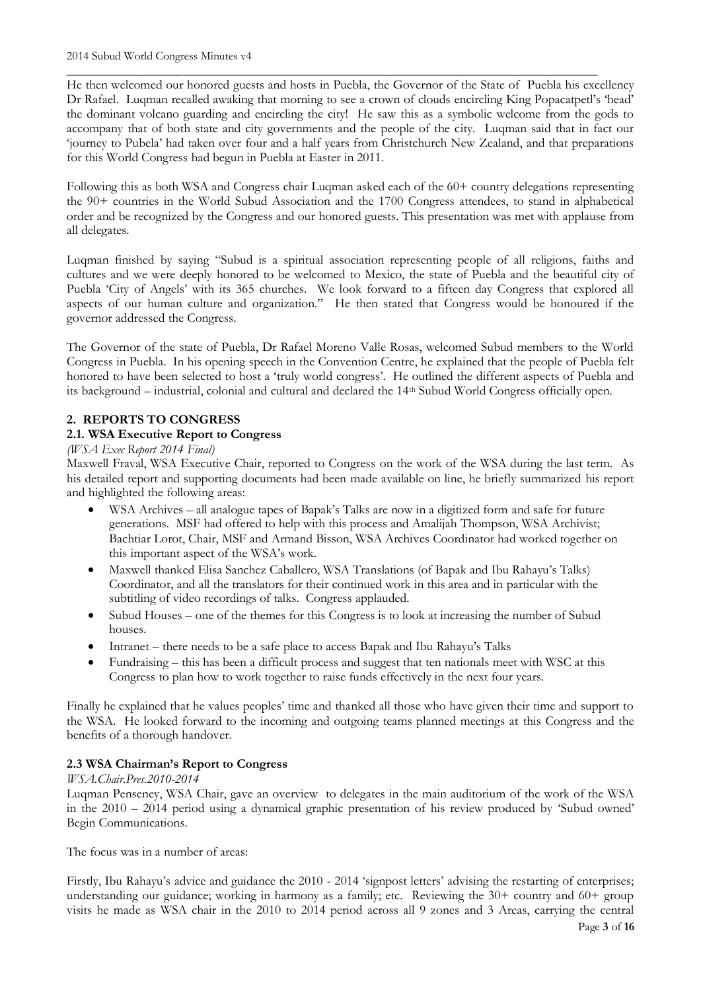He then welcomed our honored guests and hosts in Puebla, the Governor of the State of Puebla his excellency Dr Rafael. Luqman recalled awaking that morning to see a crown of clouds encircling King Popacatpetl's 'head' the dominant volcano guarding and encircling the city! He saw this as a symbolic welcome from the gods to accompany that of both state and city governments and the people of the city. Luqman said that in fact our 'journey to Pubela' had taken over four and a half years from Christchurch New Zealand, and that preparations for this World Congress had begun in Puebla at Easter in 2011.

\_\_\_\_\_\_\_\_\_\_\_\_\_\_\_\_\_\_\_\_\_\_\_\_\_\_\_\_\_\_\_\_\_\_\_\_\_\_\_\_\_\_\_\_\_\_\_\_\_\_\_\_\_\_\_\_\_\_\_\_\_\_\_\_\_\_\_\_\_\_\_\_\_\_\_\_\_\_\_\_\_\_

Following this as both WSA and Congress chair Luqman asked each of the 60+ country delegations representing the 90+ countries in the World Subud Association and the 1700 Congress attendees, to stand in alphabetical order and be recognized by the Congress and our honored guests. This presentation was met with applause from all delegates.

Luqman finished by saying "Subud is a spiritual association representing people of all religions, faiths and cultures and we were deeply honored to be welcomed to Mexico, the state of Puebla and the beautiful city of Puebla 'City of Angels' with its 365 churches. We look forward to a fifteen day Congress that explored all aspects of our human culture and organization." He then stated that Congress would be honoured if the governor addressed the Congress.

The Governor of the state of Puebla, Dr Rafael Moreno Valle Rosas, welcomed Subud members to the World Congress in Puebla. In his opening speech in the Convention Centre, he explained that the people of Puebla felt honored to have been selected to host a 'truly world congress'. He outlined the different aspects of Puebla and its background – industrial, colonial and cultural and declared the 14th Subud World Congress officially open.

# **2. REPORTS TO CONGRESS**

# **2.1. WSA Executive Report to Congress**

## *(WSA Exec Report 2014 Final)*

Maxwell Fraval, WSA Executive Chair, reported to Congress on the work of the WSA during the last term. As his detailed report and supporting documents had been made available on line, he briefly summarized his report and highlighted the following areas:

- WSA Archives all analogue tapes of Bapak's Talks are now in a digitized form and safe for future generations. MSF had offered to help with this process and Amalijah Thompson, WSA Archivist; Bachtiar Lorot, Chair, MSF and Armand Bisson, WSA Archives Coordinator had worked together on this important aspect of the WSA's work.
- Maxwell thanked Elisa Sanchez Caballero, WSA Translations (of Bapak and Ibu Rahayu's Talks) Coordinator, and all the translators for their continued work in this area and in particular with the subtitling of video recordings of talks. Congress applauded.
- Subud Houses one of the themes for this Congress is to look at increasing the number of Subud houses.
- Intranet there needs to be a safe place to access Bapak and Ibu Rahayu's Talks
- Fundraising this has been a difficult process and suggest that ten nationals meet with WSC at this Congress to plan how to work together to raise funds effectively in the next four years.

Finally he explained that he values peoples' time and thanked all those who have given their time and support to the WSA. He looked forward to the incoming and outgoing teams planned meetings at this Congress and the benefits of a thorough handover.

## **2.3 WSA Chairman's Report to Congress**

## *WSA.Chair.Pres.2010-2014*

Luqman Penseney, WSA Chair, gave an overview to delegates in the main auditorium of the work of the WSA in the 2010 – 2014 period using a dynamical graphic presentation of his review produced by 'Subud owned' Begin Communications.

The focus was in a number of areas:

Firstly, Ibu Rahayu's advice and guidance the 2010 - 2014 'signpost letters' advising the restarting of enterprises; understanding our guidance; working in harmony as a family; etc. Reviewing the 30+ country and 60+ group visits he made as WSA chair in the 2010 to 2014 period across all 9 zones and 3 Areas, carrying the central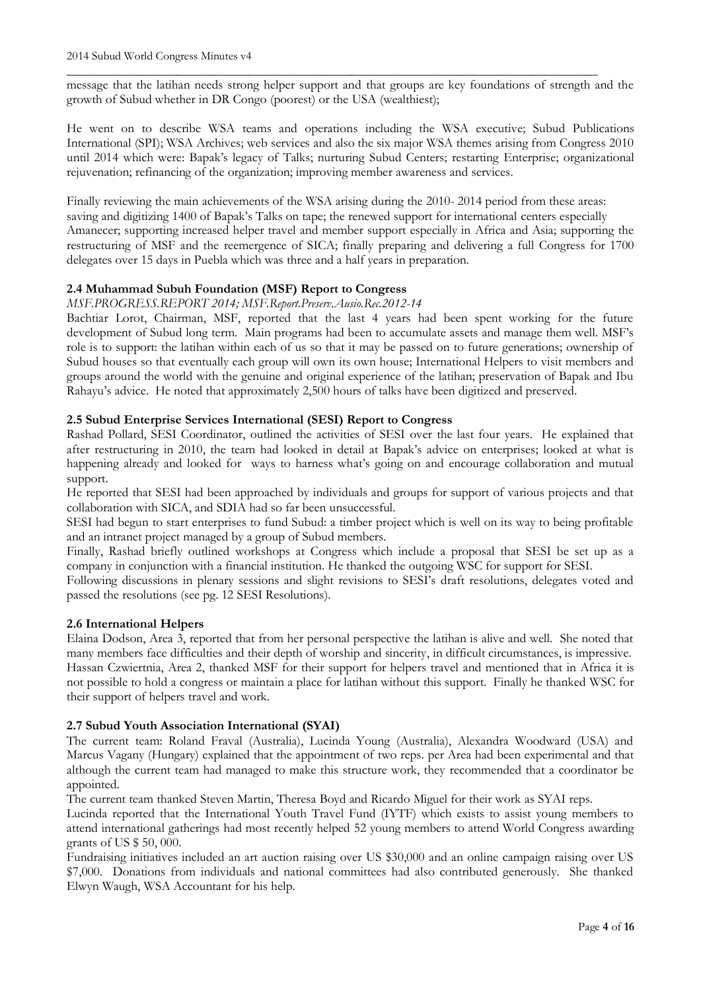\_\_\_\_\_\_\_\_\_\_\_\_\_\_\_\_\_\_\_\_\_\_\_\_\_\_\_\_\_\_\_\_\_\_\_\_\_\_\_\_\_\_\_\_\_\_\_\_\_\_\_\_\_\_\_\_\_\_\_\_\_\_\_\_\_\_\_\_\_\_\_\_\_\_\_\_\_\_\_\_\_\_ message that the latihan needs strong helper support and that groups are key foundations of strength and the growth of Subud whether in DR Congo (poorest) or the USA (wealthiest);

He went on to describe WSA teams and operations including the WSA executive; Subud Publications International (SPI); WSA Archives; web services and also the six major WSA themes arising from Congress 2010 until 2014 which were: Bapak's legacy of Talks; nurturing Subud Centers; restarting Enterprise; organizational rejuvenation; refinancing of the organization; improving member awareness and services.

Finally reviewing the main achievements of the WSA arising during the 2010- 2014 period from these areas: saving and digitizing 1400 of Bapak's Talks on tape; the renewed support for international centers especially Amanecer; supporting increased helper travel and member support especially in Africa and Asia; supporting the restructuring of MSF and the reemergence of SICA; finally preparing and delivering a full Congress for 1700 delegates over 15 days in Puebla which was three and a half years in preparation.

## **2.4 Muhammad Subuh Foundation (MSF) Report to Congress**

*MSF.PROGRESS.REPORT 2014; MSF.Report.Preserv.Ausio.Rec.2012-14*

Bachtiar Lorot, Chairman, MSF, reported that the last 4 years had been spent working for the future development of Subud long term. Main programs had been to accumulate assets and manage them well. MSF's role is to support: the latihan within each of us so that it may be passed on to future generations; ownership of Subud houses so that eventually each group will own its own house; International Helpers to visit members and groups around the world with the genuine and original experience of the latihan; preservation of Bapak and Ibu Rahayu's advice. He noted that approximately 2,500 hours of talks have been digitized and preserved.

## **2.5 Subud Enterprise Services International (SESI) Report to Congress**

Rashad Pollard, SESI Coordinator, outlined the activities of SESI over the last four years. He explained that after restructuring in 2010, the team had looked in detail at Bapak's advice on enterprises; looked at what is happening already and looked for ways to harness what's going on and encourage collaboration and mutual support.

He reported that SESI had been approached by individuals and groups for support of various projects and that collaboration with SICA, and SDIA had so far been unsuccessful.

SESI had begun to start enterprises to fund Subud: a timber project which is well on its way to being profitable and an intranet project managed by a group of Subud members.

Finally, Rashad briefly outlined workshops at Congress which include a proposal that SESI be set up as a company in conjunction with a financial institution. He thanked the outgoing WSC for support for SESI.

Following discussions in plenary sessions and slight revisions to SESI's draft resolutions, delegates voted and passed the resolutions (see pg. 12 SESI Resolutions).

## **2.6 International Helpers**

Elaina Dodson, Area 3, reported that from her personal perspective the latihan is alive and well. She noted that many members face difficulties and their depth of worship and sincerity, in difficult circumstances, is impressive. Hassan Czwiertnia, Area 2, thanked MSF for their support for helpers travel and mentioned that in Africa it is not possible to hold a congress or maintain a place for latihan without this support. Finally he thanked WSC for their support of helpers travel and work.

## **2.7 Subud Youth Association International (SYAI)**

The current team: Roland Fraval (Australia), Lucinda Young (Australia), Alexandra Woodward (USA) and Marcus Vagany (Hungary) explained that the appointment of two reps. per Area had been experimental and that although the current team had managed to make this structure work, they recommended that a coordinator be appointed.

The current team thanked Steven Martin, Theresa Boyd and Ricardo Miguel for their work as SYAI reps.

Lucinda reported that the International Youth Travel Fund (IYTF) which exists to assist young members to attend international gatherings had most recently helped 52 young members to attend World Congress awarding grants of US \$ 50, 000.

Fundraising initiatives included an art auction raising over US \$30,000 and an online campaign raising over US \$7,000. Donations from individuals and national committees had also contributed generously. She thanked Elwyn Waugh, WSA Accountant for his help.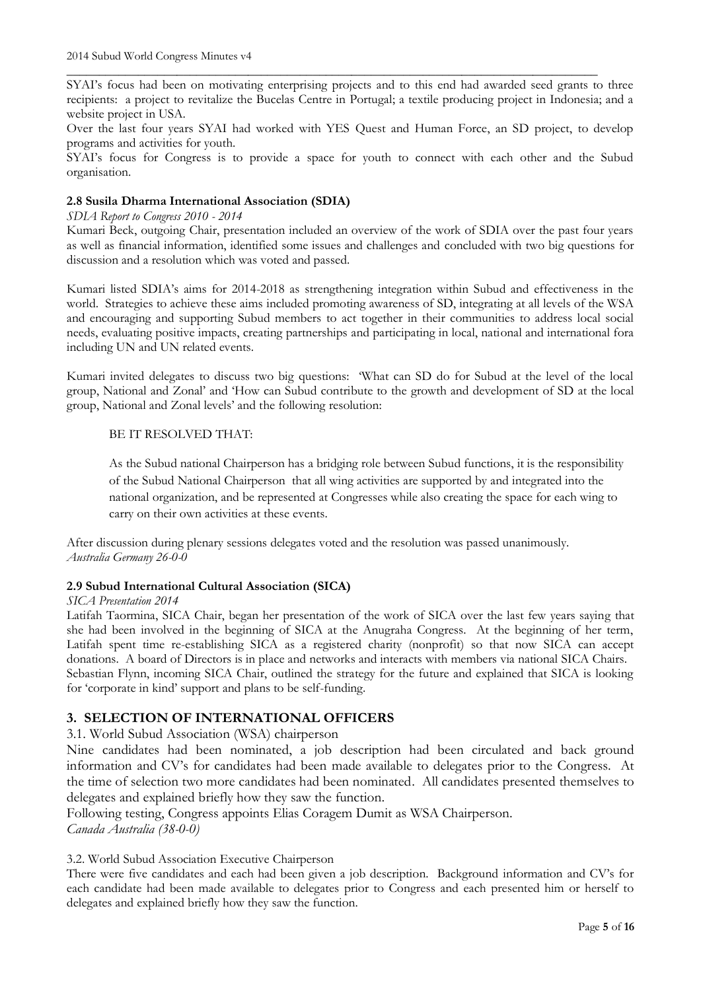\_\_\_\_\_\_\_\_\_\_\_\_\_\_\_\_\_\_\_\_\_\_\_\_\_\_\_\_\_\_\_\_\_\_\_\_\_\_\_\_\_\_\_\_\_\_\_\_\_\_\_\_\_\_\_\_\_\_\_\_\_\_\_\_\_\_\_\_\_\_\_\_\_\_\_\_\_\_\_\_\_\_ SYAI's focus had been on motivating enterprising projects and to this end had awarded seed grants to three recipients: a project to revitalize the Bucelas Centre in Portugal; a textile producing project in Indonesia; and a website project in USA.

Over the last four years SYAI had worked with YES Quest and Human Force, an SD project, to develop programs and activities for youth.

SYAI's focus for Congress is to provide a space for youth to connect with each other and the Subud organisation.

## **2.8 Susila Dharma International Association (SDIA)**

#### *SDIA Report to Congress 2010 - 2014*

Kumari Beck, outgoing Chair, presentation included an overview of the work of SDIA over the past four years as well as financial information, identified some issues and challenges and concluded with two big questions for discussion and a resolution which was voted and passed.

Kumari listed SDIA's aims for 2014-2018 as strengthening integration within Subud and effectiveness in the world. Strategies to achieve these aims included promoting awareness of SD, integrating at all levels of the WSA and encouraging and supporting Subud members to act together in their communities to address local social needs, evaluating positive impacts, creating partnerships and participating in local, national and international fora including UN and UN related events.

Kumari invited delegates to discuss two big questions: 'What can SD do for Subud at the level of the local group, National and Zonal' and 'How can Subud contribute to the growth and development of SD at the local group, National and Zonal levels' and the following resolution:

## BE IT RESOLVED THAT:

As the Subud national Chairperson has a bridging role between Subud functions, it is the responsibility of the Subud National Chairperson that all wing activities are supported by and integrated into the national organization, and be represented at Congresses while also creating the space for each wing to carry on their own activities at these events.

After discussion during plenary sessions delegates voted and the resolution was passed unanimously. *Australia Germany 26-0-0*

## **2.9 Subud International Cultural Association (SICA)**

#### *SICA Presentation 2014*

Latifah Taormina, SICA Chair, began her presentation of the work of SICA over the last few years saying that she had been involved in the beginning of SICA at the Anugraha Congress. At the beginning of her term, Latifah spent time re-establishing SICA as a registered charity (nonprofit) so that now SICA can accept donations. A board of Directors is in place and networks and interacts with members via national SICA Chairs. Sebastian Flynn, incoming SICA Chair, outlined the strategy for the future and explained that SICA is looking for 'corporate in kind' support and plans to be self-funding.

## **3. SELECTION OF INTERNATIONAL OFFICERS**

#### 3.1. World Subud Association (WSA) chairperson

Nine candidates had been nominated, a job description had been circulated and back ground information and CV's for candidates had been made available to delegates prior to the Congress. At the time of selection two more candidates had been nominated. All candidates presented themselves to delegates and explained briefly how they saw the function.

Following testing, Congress appoints Elias Coragem Dumit as WSA Chairperson. *Canada Australia (38-0-0)*

#### 3.2. World Subud Association Executive Chairperson

There were five candidates and each had been given a job description. Background information and CV's for each candidate had been made available to delegates prior to Congress and each presented him or herself to delegates and explained briefly how they saw the function.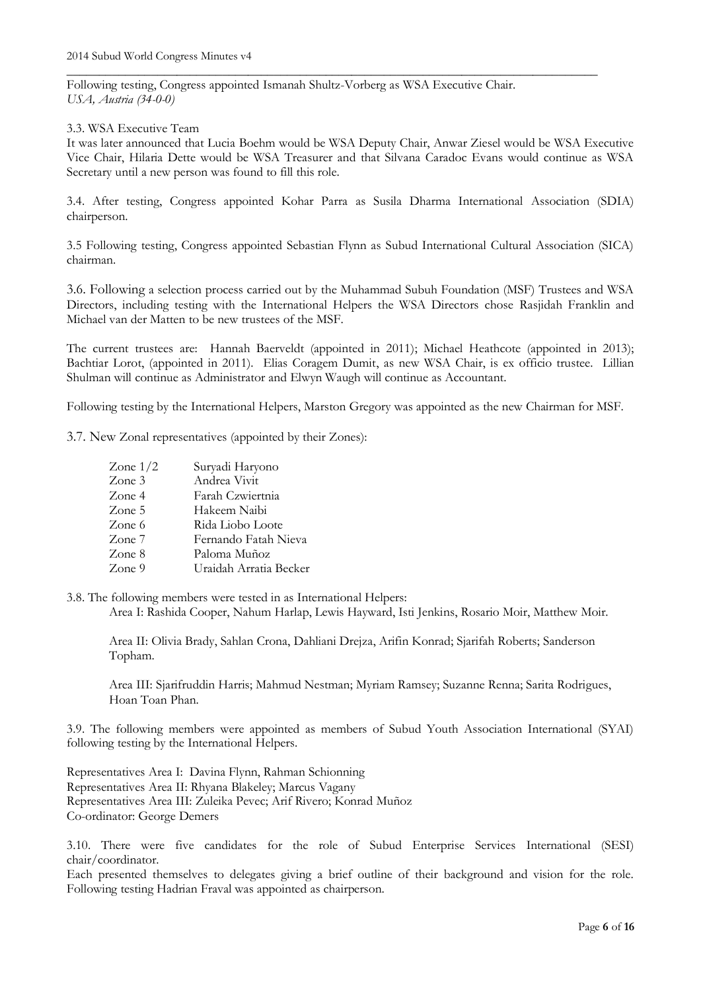Following testing, Congress appointed Ismanah Shultz-Vorberg as WSA Executive Chair. *USA, Austria (34-0-0)*

3.3. WSA Executive Team

It was later announced that Lucia Boehm would be WSA Deputy Chair, Anwar Ziesel would be WSA Executive Vice Chair, Hilaria Dette would be WSA Treasurer and that Silvana Caradoc Evans would continue as WSA Secretary until a new person was found to fill this role.

\_\_\_\_\_\_\_\_\_\_\_\_\_\_\_\_\_\_\_\_\_\_\_\_\_\_\_\_\_\_\_\_\_\_\_\_\_\_\_\_\_\_\_\_\_\_\_\_\_\_\_\_\_\_\_\_\_\_\_\_\_\_\_\_\_\_\_\_\_\_\_\_\_\_\_\_\_\_\_\_\_\_

3.4. After testing, Congress appointed Kohar Parra as Susila Dharma International Association (SDIA) chairperson.

3.5 Following testing, Congress appointed Sebastian Flynn as Subud International Cultural Association (SICA) chairman.

3.6. Following a selection process carried out by the Muhammad Subuh Foundation (MSF) Trustees and WSA Directors, including testing with the International Helpers the WSA Directors chose Rasjidah Franklin and Michael van der Matten to be new trustees of the MSF.

The current trustees are: Hannah Baerveldt (appointed in 2011); Michael Heathcote (appointed in 2013); Bachtiar Lorot, (appointed in 2011). Elias Coragem Dumit, as new WSA Chair, is ex officio trustee. Lillian Shulman will continue as Administrator and Elwyn Waugh will continue as Accountant.

Following testing by the International Helpers, Marston Gregory was appointed as the new Chairman for MSF.

3.7. New Zonal representatives (appointed by their Zones):

| Zone $1/2$ | Suryadi Haryono        |
|------------|------------------------|
| Zone 3     | Andrea Vivit           |
| Zone 4     | Farah Czwiertnia       |
| Zone 5     | Hakeem Naibi           |
| Zone 6     | Rida Liobo Loote       |
| Zone 7     | Fernando Fatah Nieva   |
| Zone 8     | Paloma Muñoz           |
| Zone 9     | Uraidah Arratia Becker |

3.8. The following members were tested in as International Helpers:

Area I: Rashida Cooper, Nahum Harlap, Lewis Hayward, Isti Jenkins, Rosario Moir, Matthew Moir.

Area II: Olivia Brady, Sahlan Crona, Dahliani Drejza, Arifin Konrad; Sjarifah Roberts; Sanderson Topham.

Area III: Sjarifruddin Harris; Mahmud Nestman; Myriam Ramsey; Suzanne Renna; Sarita Rodrigues, Hoan Toan Phan.

3.9. The following members were appointed as members of Subud Youth Association International (SYAI) following testing by the International Helpers.

Representatives Area I: Davina Flynn, Rahman Schionning Representatives Area II: Rhyana Blakeley; Marcus Vagany Representatives Area III: Zuleika Pevec; Arif Rivero; Konrad Muñoz Co-ordinator: George Demers

3.10. There were five candidates for the role of Subud Enterprise Services International (SESI) chair/coordinator.

Each presented themselves to delegates giving a brief outline of their background and vision for the role. Following testing Hadrian Fraval was appointed as chairperson.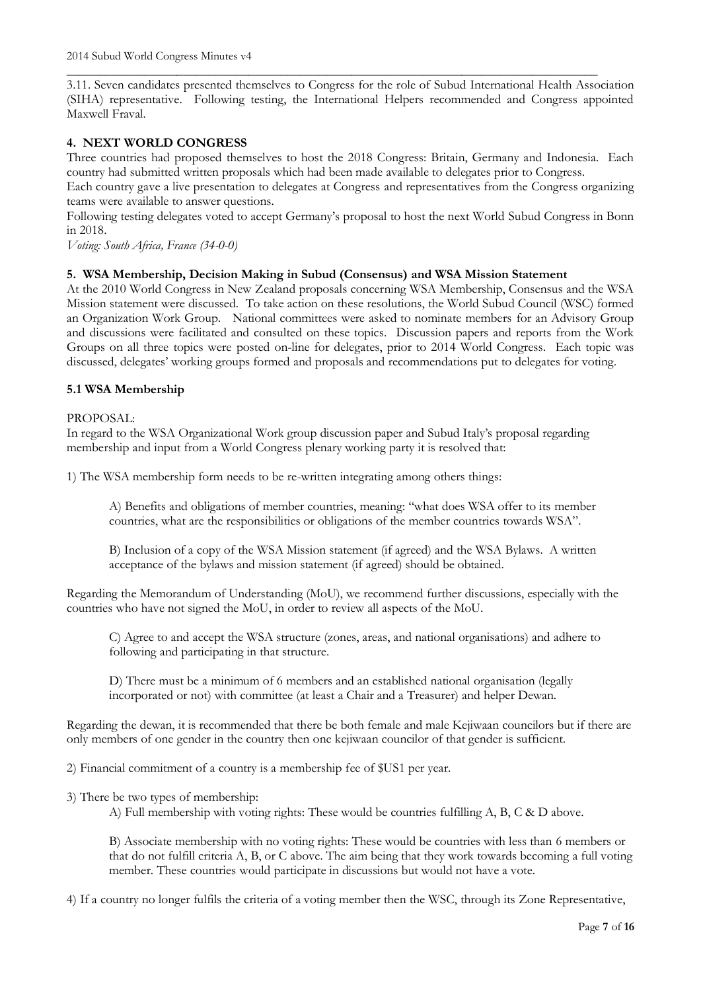\_\_\_\_\_\_\_\_\_\_\_\_\_\_\_\_\_\_\_\_\_\_\_\_\_\_\_\_\_\_\_\_\_\_\_\_\_\_\_\_\_\_\_\_\_\_\_\_\_\_\_\_\_\_\_\_\_\_\_\_\_\_\_\_\_\_\_\_\_\_\_\_\_\_\_\_\_\_\_\_\_\_ 3.11. Seven candidates presented themselves to Congress for the role of Subud International Health Association (SIHA) representative. Following testing, the International Helpers recommended and Congress appointed Maxwell Fraval.

## **4. NEXT WORLD CONGRESS**

Three countries had proposed themselves to host the 2018 Congress: Britain, Germany and Indonesia. Each country had submitted written proposals which had been made available to delegates prior to Congress.

Each country gave a live presentation to delegates at Congress and representatives from the Congress organizing teams were available to answer questions.

Following testing delegates voted to accept Germany's proposal to host the next World Subud Congress in Bonn in 2018.

*Voting: South Africa, France (34-0-0)* 

#### **5. WSA Membership, Decision Making in Subud (Consensus) and WSA Mission Statement**

At the 2010 World Congress in New Zealand proposals concerning WSA Membership, Consensus and the WSA Mission statement were discussed. To take action on these resolutions, the World Subud Council (WSC) formed an Organization Work Group. National committees were asked to nominate members for an Advisory Group and discussions were facilitated and consulted on these topics. Discussion papers and reports from the Work Groups on all three topics were posted on-line for delegates, prior to 2014 World Congress. Each topic was discussed, delegates' working groups formed and proposals and recommendations put to delegates for voting.

#### **5.1 WSA Membership**

#### PROPOSAL:

In regard to the WSA Organizational Work group discussion paper and Subud Italy's proposal regarding membership and input from a World Congress plenary working party it is resolved that:

1) The WSA membership form needs to be re-written integrating among others things:

A) Benefits and obligations of member countries, meaning: "what does WSA offer to its member countries, what are the responsibilities or obligations of the member countries towards WSA".

B) Inclusion of a copy of the WSA Mission statement (if agreed) and the WSA Bylaws. A written acceptance of the bylaws and mission statement (if agreed) should be obtained.

Regarding the Memorandum of Understanding (MoU), we recommend further discussions, especially with the countries who have not signed the MoU, in order to review all aspects of the MoU.

C) Agree to and accept the WSA structure (zones, areas, and national organisations) and adhere to following and participating in that structure.

D) There must be a minimum of 6 members and an established national organisation (legally incorporated or not) with committee (at least a Chair and a Treasurer) and helper Dewan.

Regarding the dewan, it is recommended that there be both female and male Kejiwaan councilors but if there are only members of one gender in the country then one kejiwaan councilor of that gender is sufficient.

2) Financial commitment of a country is a membership fee of \$US1 per year.

3) There be two types of membership:

A) Full membership with voting rights: These would be countries fulfilling A, B, C & D above.

B) Associate membership with no voting rights: These would be countries with less than 6 members or that do not fulfill criteria A, B, or C above. The aim being that they work towards becoming a full voting member. These countries would participate in discussions but would not have a vote.

4) If a country no longer fulfils the criteria of a voting member then the WSC, through its Zone Representative,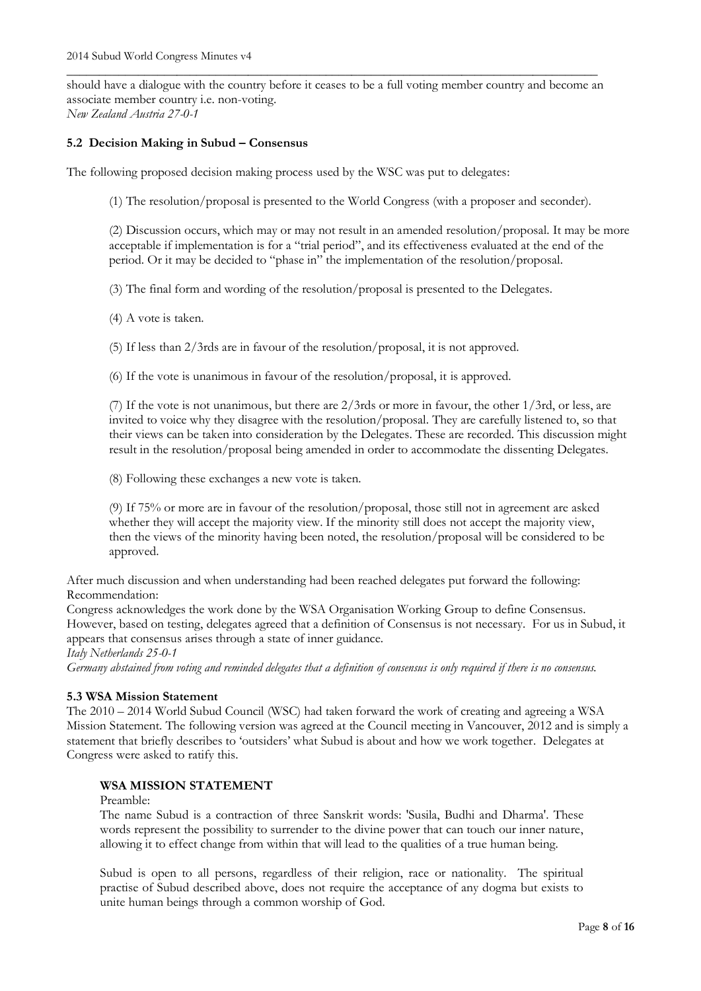should have a dialogue with the country before it ceases to be a full voting member country and become an associate member country i.e. non-voting. *New Zealand Austria 27-0-1*

\_\_\_\_\_\_\_\_\_\_\_\_\_\_\_\_\_\_\_\_\_\_\_\_\_\_\_\_\_\_\_\_\_\_\_\_\_\_\_\_\_\_\_\_\_\_\_\_\_\_\_\_\_\_\_\_\_\_\_\_\_\_\_\_\_\_\_\_\_\_\_\_\_\_\_\_\_\_\_\_\_\_

#### **5.2 Decision Making in Subud – Consensus**

The following proposed decision making process used by the WSC was put to delegates:

(1) The resolution/proposal is presented to the World Congress (with a proposer and seconder).

(2) Discussion occurs, which may or may not result in an amended resolution/proposal. It may be more acceptable if implementation is for a "trial period", and its effectiveness evaluated at the end of the period. Or it may be decided to "phase in" the implementation of the resolution/proposal.

(3) The final form and wording of the resolution/proposal is presented to the Delegates.

(4) A vote is taken.

(5) If less than 2/3rds are in favour of the resolution/proposal, it is not approved.

(6) If the vote is unanimous in favour of the resolution/proposal, it is approved.

(7) If the vote is not unanimous, but there are 2/3rds or more in favour, the other 1/3rd, or less, are invited to voice why they disagree with the resolution/proposal. They are carefully listened to, so that their views can be taken into consideration by the Delegates. These are recorded. This discussion might result in the resolution/proposal being amended in order to accommodate the dissenting Delegates.

(8) Following these exchanges a new vote is taken.

(9) If 75% or more are in favour of the resolution/proposal, those still not in agreement are asked whether they will accept the majority view. If the minority still does not accept the majority view, then the views of the minority having been noted, the resolution/proposal will be considered to be approved.

After much discussion and when understanding had been reached delegates put forward the following: Recommendation:

Congress acknowledges the work done by the WSA Organisation Working Group to define Consensus. However, based on testing, delegates agreed that a definition of Consensus is not necessary. For us in Subud, it appears that consensus arises through a state of inner guidance.

*Italy Netherlands 25-0-1*

*Germany abstained from voting and reminded delegates that a definition of consensus is only required if there is no consensus.*

#### **5.3 WSA Mission Statement**

The 2010 – 2014 World Subud Council (WSC) had taken forward the work of creating and agreeing a WSA Mission Statement. The following version was agreed at the Council meeting in Vancouver, 2012 and is simply a statement that briefly describes to 'outsiders' what Subud is about and how we work together. Delegates at Congress were asked to ratify this.

#### **WSA MISSION STATEMENT**

#### Preamble:

The name Subud is a contraction of three Sanskrit words: 'Susila, Budhi and Dharma'. These words represent the possibility to surrender to the divine power that can touch our inner nature, allowing it to effect change from within that will lead to the qualities of a true human being.

Subud is open to all persons, regardless of their religion, race or nationality. The spiritual practise of Subud described above, does not require the acceptance of any dogma but exists to unite human beings through a common worship of God.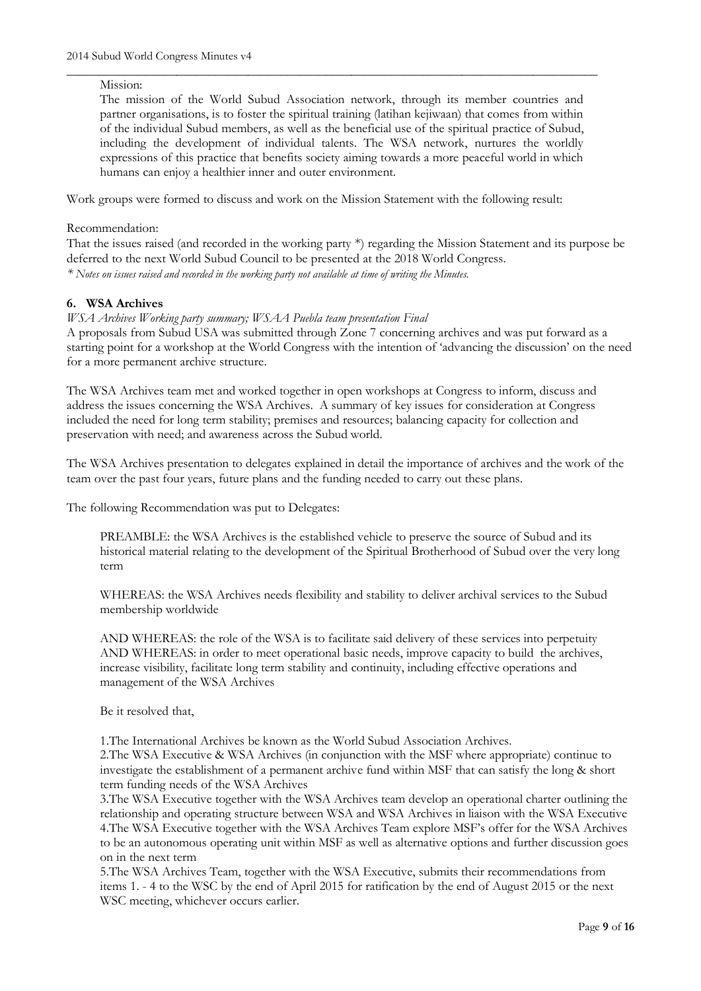#### Mission:

The mission of the World Subud Association network, through its member countries and partner organisations, is to foster the spiritual training (latihan kejiwaan) that comes from within of the individual Subud members, as well as the beneficial use of the spiritual practice of Subud, including the development of individual talents. The WSA network, nurtures the worldly expressions of this practice that benefits society aiming towards a more peaceful world in which humans can enjoy a healthier inner and outer environment.

\_\_\_\_\_\_\_\_\_\_\_\_\_\_\_\_\_\_\_\_\_\_\_\_\_\_\_\_\_\_\_\_\_\_\_\_\_\_\_\_\_\_\_\_\_\_\_\_\_\_\_\_\_\_\_\_\_\_\_\_\_\_\_\_\_\_\_\_\_\_\_\_\_\_\_\_\_\_\_\_\_\_

Work groups were formed to discuss and work on the Mission Statement with the following result:

Recommendation:

That the issues raised (and recorded in the working party \*) regarding the Mission Statement and its purpose be deferred to the next World Subud Council to be presented at the 2018 World Congress. *\* Notes on issues raised and recorded in the working party not available at time of writing the Minutes.*

## **6. WSA Archives**

*WSA Archives Working party summary; WSAA Puebla team presentation Final*

A proposals from Subud USA was submitted through Zone 7 concerning archives and was put forward as a starting point for a workshop at the World Congress with the intention of 'advancing the discussion' on the need for a more permanent archive structure.

The WSA Archives team met and worked together in open workshops at Congress to inform, discuss and address the issues concerning the WSA Archives. A summary of key issues for consideration at Congress included the need for long term stability; premises and resources; balancing capacity for collection and preservation with need; and awareness across the Subud world.

The WSA Archives presentation to delegates explained in detail the importance of archives and the work of the team over the past four years, future plans and the funding needed to carry out these plans.

The following Recommendation was put to Delegates:

PREAMBLE: the WSA Archives is the established vehicle to preserve the source of Subud and its historical material relating to the development of the Spiritual Brotherhood of Subud over the very long term

WHEREAS: the WSA Archives needs flexibility and stability to deliver archival services to the Subud membership worldwide

AND WHEREAS: the role of the WSA is to facilitate said delivery of these services into perpetuity AND WHEREAS: in order to meet operational basic needs, improve capacity to build the archives, increase visibility, facilitate long term stability and continuity, including effective operations and management of the WSA Archives

Be it resolved that,

1.The International Archives be known as the World Subud Association Archives.

2.The WSA Executive & WSA Archives (in conjunction with the MSF where appropriate) continue to investigate the establishment of a permanent archive fund within MSF that can satisfy the long & short term funding needs of the WSA Archives

3.The WSA Executive together with the WSA Archives team develop an operational charter outlining the relationship and operating structure between WSA and WSA Archives in liaison with the WSA Executive 4.The WSA Executive together with the WSA Archives Team explore MSF's offer for the WSA Archives to be an autonomous operating unit within MSF as well as alternative options and further discussion goes on in the next term

5.The WSA Archives Team, together with the WSA Executive, submits their recommendations from items 1. - 4 to the WSC by the end of April 2015 for ratification by the end of August 2015 or the next WSC meeting, whichever occurs earlier.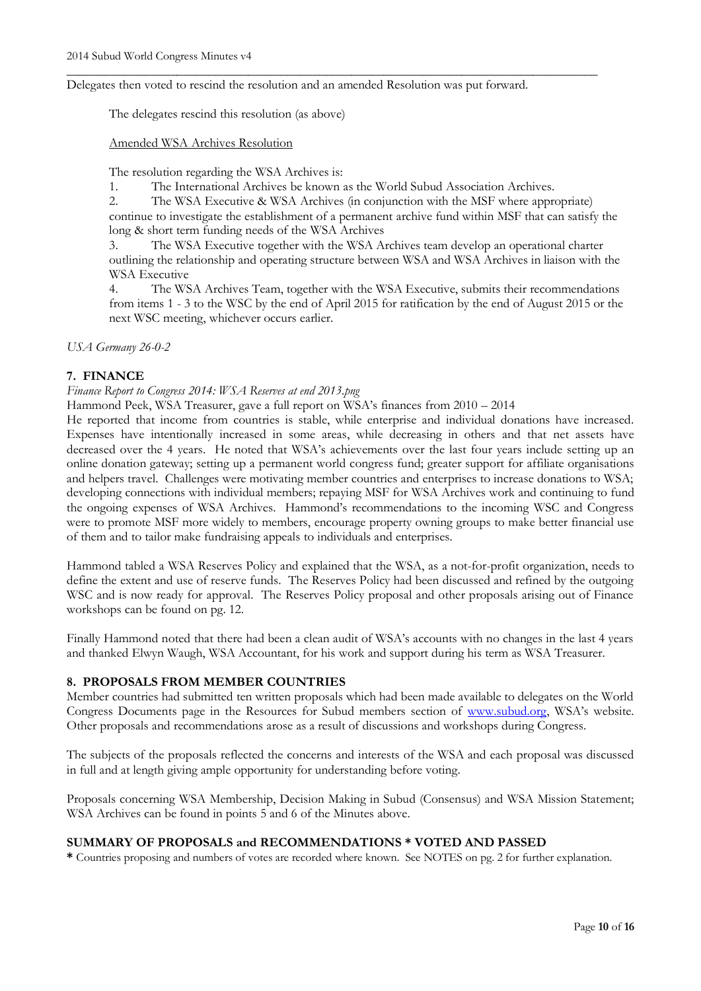Delegates then voted to rescind the resolution and an amended Resolution was put forward.

The delegates rescind this resolution (as above)

Amended WSA Archives Resolution

The resolution regarding the WSA Archives is:

1. The International Archives be known as the World Subud Association Archives.

\_\_\_\_\_\_\_\_\_\_\_\_\_\_\_\_\_\_\_\_\_\_\_\_\_\_\_\_\_\_\_\_\_\_\_\_\_\_\_\_\_\_\_\_\_\_\_\_\_\_\_\_\_\_\_\_\_\_\_\_\_\_\_\_\_\_\_\_\_\_\_\_\_\_\_\_\_\_\_\_\_\_

2. The WSA Executive & WSA Archives (in conjunction with the MSF where appropriate) continue to investigate the establishment of a permanent archive fund within MSF that can satisfy the long & short term funding needs of the WSA Archives

3. The WSA Executive together with the WSA Archives team develop an operational charter outlining the relationship and operating structure between WSA and WSA Archives in liaison with the WSA Executive

The WSA Archives Team, together with the WSA Executive, submits their recommendations from items 1 - 3 to the WSC by the end of April 2015 for ratification by the end of August 2015 or the next WSC meeting, whichever occurs earlier.

*USA Germany 26-0-2*

## **7. FINANCE**

## *Finance Report to Congress 2014: WSA Reserves at end 2013.png*

Hammond Peek, WSA Treasurer, gave a full report on WSA's finances from 2010 – 2014

He reported that income from countries is stable, while enterprise and individual donations have increased. Expenses have intentionally increased in some areas, while decreasing in others and that net assets have decreased over the 4 years. He noted that WSA's achievements over the last four years include setting up an online donation gateway; setting up a permanent world congress fund; greater support for affiliate organisations and helpers travel. Challenges were motivating member countries and enterprises to increase donations to WSA; developing connections with individual members; repaying MSF for WSA Archives work and continuing to fund the ongoing expenses of WSA Archives. Hammond's recommendations to the incoming WSC and Congress were to promote MSF more widely to members, encourage property owning groups to make better financial use of them and to tailor make fundraising appeals to individuals and enterprises.

Hammond tabled a WSA Reserves Policy and explained that the WSA, as a not-for-profit organization, needs to define the extent and use of reserve funds. The Reserves Policy had been discussed and refined by the outgoing WSC and is now ready for approval. The Reserves Policy proposal and other proposals arising out of Finance workshops can be found on pg. 12.

Finally Hammond noted that there had been a clean audit of WSA's accounts with no changes in the last 4 years and thanked Elwyn Waugh, WSA Accountant, for his work and support during his term as WSA Treasurer.

## **8. PROPOSALS FROM MEMBER COUNTRIES**

Member countries had submitted ten written proposals which had been made available to delegates on the World Congress Documents page in the Resources for Subud members section of [www.subud.org](http://www.subud.org/), WSA's website. Other proposals and recommendations arose as a result of discussions and workshops during Congress.

The subjects of the proposals reflected the concerns and interests of the WSA and each proposal was discussed in full and at length giving ample opportunity for understanding before voting.

Proposals concerning WSA Membership, Decision Making in Subud (Consensus) and WSA Mission Statement; WSA Archives can be found in points 5 and 6 of the Minutes above.

## **SUMMARY OF PROPOSALS and RECOMMENDATIONS \* VOTED AND PASSED**

**\*** Countries proposing and numbers of votes are recorded where known. See NOTES on pg. 2 for further explanation.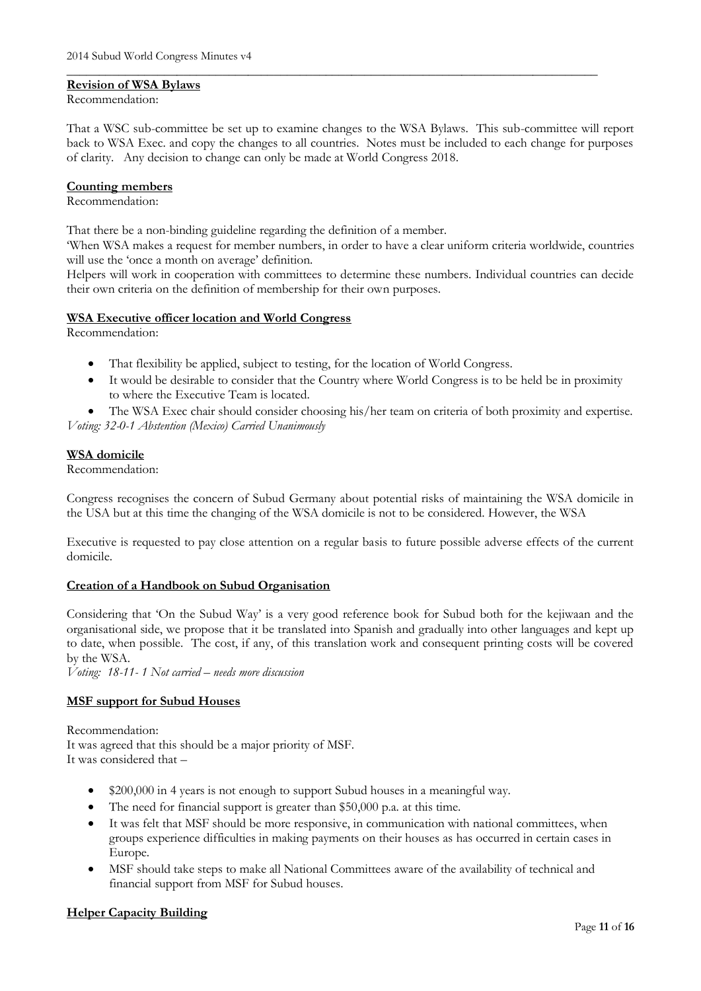#### **Revision of WSA Bylaws**

#### Recommendation:

That a WSC sub-committee be set up to examine changes to the WSA Bylaws. This sub-committee will report back to WSA Exec. and copy the changes to all countries. Notes must be included to each change for purposes of clarity. Any decision to change can only be made at World Congress 2018.

\_\_\_\_\_\_\_\_\_\_\_\_\_\_\_\_\_\_\_\_\_\_\_\_\_\_\_\_\_\_\_\_\_\_\_\_\_\_\_\_\_\_\_\_\_\_\_\_\_\_\_\_\_\_\_\_\_\_\_\_\_\_\_\_\_\_\_\_\_\_\_\_\_\_\_\_\_\_\_\_\_\_

#### **Counting members**

#### Recommendation:

That there be a non-binding guideline regarding the definition of a member.

'When WSA makes a request for member numbers, in order to have a clear uniform criteria worldwide, countries will use the 'once a month on average' definition.

Helpers will work in cooperation with committees to determine these numbers. Individual countries can decide their own criteria on the definition of membership for their own purposes.

#### **WSA Executive officer location and World Congress**

Recommendation:

- That flexibility be applied, subject to testing, for the location of World Congress.
- It would be desirable to consider that the Country where World Congress is to be held be in proximity to where the Executive Team is located.

 The WSA Exec chair should consider choosing his/her team on criteria of both proximity and expertise. *Voting: 32-0-1 Abstention (Mexico) Carried Unanimously*

## **WSA domicile**

Recommendation:

Congress recognises the concern of Subud Germany about potential risks of maintaining the WSA domicile in the USA but at this time the changing of the WSA domicile is not to be considered. However, the WSA

Executive is requested to pay close attention on a regular basis to future possible adverse effects of the current domicile.

## **Creation of a Handbook on Subud Organisation**

Considering that 'On the Subud Way' is a very good reference book for Subud both for the kejiwaan and the organisational side, we propose that it be translated into Spanish and gradually into other languages and kept up to date, when possible. The cost, if any, of this translation work and consequent printing costs will be covered by the WSA.

*Voting: 18-11- 1 Not carried – needs more discussion*

## **MSF support for Subud Houses**

Recommendation: It was agreed that this should be a major priority of MSF. It was considered that –

- \$200,000 in 4 years is not enough to support Subud houses in a meaningful way.
- The need for financial support is greater than \$50,000 p.a. at this time.
- It was felt that MSF should be more responsive, in communication with national committees, when groups experience difficulties in making payments on their houses as has occurred in certain cases in Europe.
- MSF should take steps to make all National Committees aware of the availability of technical and financial support from MSF for Subud houses.

#### **Helper Capacity Building**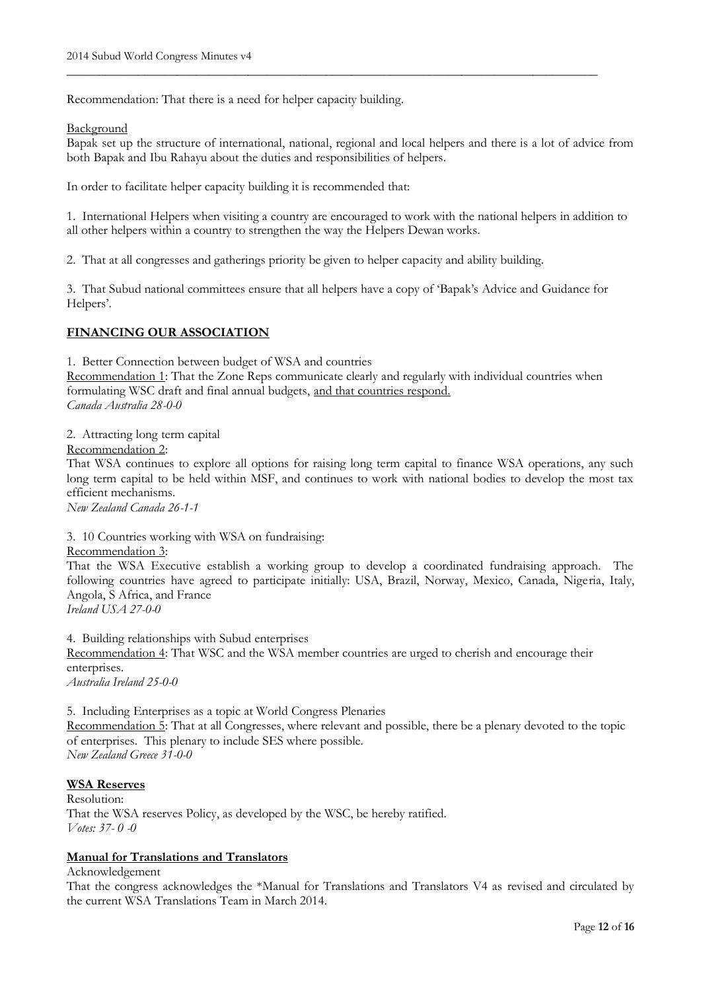Recommendation: That there is a need for helper capacity building.

#### Background

Bapak set up the structure of international, national, regional and local helpers and there is a lot of advice from both Bapak and Ibu Rahayu about the duties and responsibilities of helpers.

\_\_\_\_\_\_\_\_\_\_\_\_\_\_\_\_\_\_\_\_\_\_\_\_\_\_\_\_\_\_\_\_\_\_\_\_\_\_\_\_\_\_\_\_\_\_\_\_\_\_\_\_\_\_\_\_\_\_\_\_\_\_\_\_\_\_\_\_\_\_\_\_\_\_\_\_\_\_\_\_\_\_

In order to facilitate helper capacity building it is recommended that:

1. International Helpers when visiting a country are encouraged to work with the national helpers in addition to all other helpers within a country to strengthen the way the Helpers Dewan works.

2. That at all congresses and gatherings priority be given to helper capacity and ability building.

3. That Subud national committees ensure that all helpers have a copy of 'Bapak's Advice and Guidance for Helpers'.

## **FINANCING OUR ASSOCIATION**

1. Better Connection between budget of WSA and countries

Recommendation 1: That the Zone Reps communicate clearly and regularly with individual countries when formulating WSC draft and final annual budgets, and that countries respond. *Canada Australia 28-0-0*

2. Attracting long term capital

Recommendation 2:

That WSA continues to explore all options for raising long term capital to finance WSA operations, any such long term capital to be held within MSF, and continues to work with national bodies to develop the most tax efficient mechanisms.

*New Zealand Canada 26-1-1*

3. 10 Countries working with WSA on fundraising:

#### Recommendation 3:

That the WSA Executive establish a working group to develop a coordinated fundraising approach. The following countries have agreed to participate initially: USA, Brazil, Norway, Mexico, Canada, Nigeria, Italy, Angola, S Africa, and France

*Ireland USA 27-0-0*

4. Building relationships with Subud enterprises Recommendation 4: That WSC and the WSA member countries are urged to cherish and encourage their enterprises.

*Australia Ireland 25-0-0*

5. Including Enterprises as a topic at World Congress Plenaries Recommendation 5: That at all Congresses, where relevant and possible, there be a plenary devoted to the topic of enterprises. This plenary to include SES where possible. *New Zealand Greece 31-0-0*

## **WSA Reserves**

Resolution: That the WSA reserves Policy, as developed by the WSC, be hereby ratified. *Votes: 37- 0 -0*

# **Manual for Translations and Translators**

Acknowledgement

That the congress acknowledges the \*Manual for Translations and Translators V4 as revised and circulated by the current WSA Translations Team in March 2014.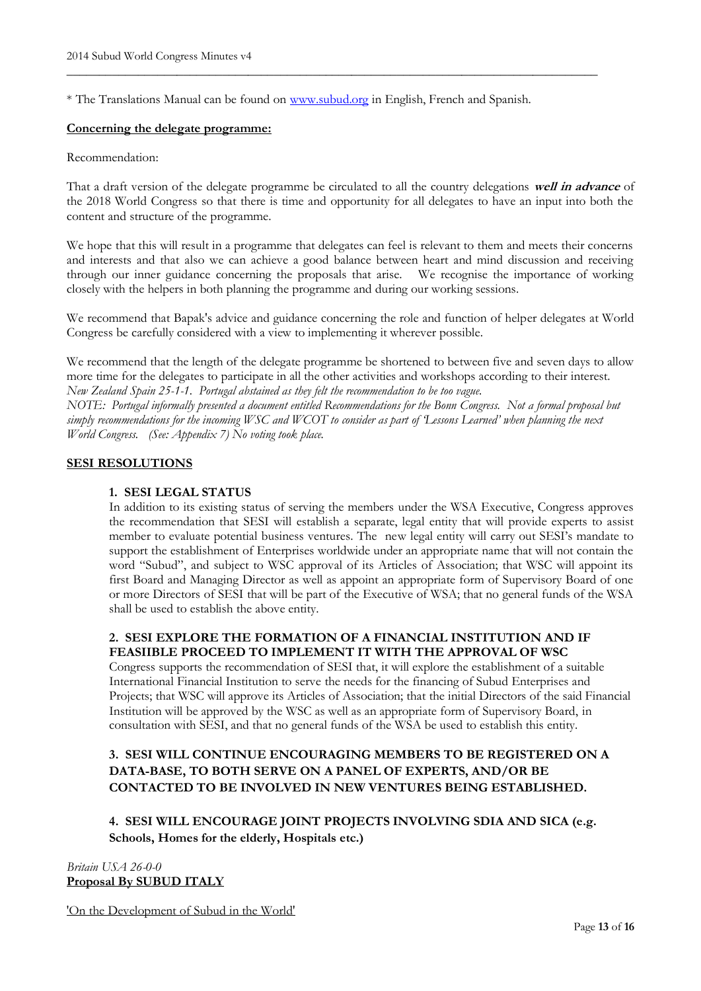\* The Translations Manual can be found on [www.subud.org](http://www.subud.org/) in English, French and Spanish.

\_\_\_\_\_\_\_\_\_\_\_\_\_\_\_\_\_\_\_\_\_\_\_\_\_\_\_\_\_\_\_\_\_\_\_\_\_\_\_\_\_\_\_\_\_\_\_\_\_\_\_\_\_\_\_\_\_\_\_\_\_\_\_\_\_\_\_\_\_\_\_\_\_\_\_\_\_\_\_\_\_\_

#### **Concerning the delegate programme:**

#### Recommendation:

That a draft version of the delegate programme be circulated to all the country delegations **well in advance** of the 2018 World Congress so that there is time and opportunity for all delegates to have an input into both the content and structure of the programme.

We hope that this will result in a programme that delegates can feel is relevant to them and meets their concerns and interests and that also we can achieve a good balance between heart and mind discussion and receiving through our inner guidance concerning the proposals that arise. We recognise the importance of working closely with the helpers in both planning the programme and during our working sessions.

We recommend that Bapak's advice and guidance concerning the role and function of helper delegates at World Congress be carefully considered with a view to implementing it wherever possible.

We recommend that the length of the delegate programme be shortened to between five and seven days to allow more time for the delegates to participate in all the other activities and workshops according to their interest. *New Zealand Spain 25-1-1. Portugal abstained as they felt the recommendation to be too vague.*

*NOTE: Portugal informally presented a document entitled Recommendations for the Bonn Congress. Not a formal proposal but simply recommendations for the incoming WSC and WCOT to consider as part of 'Lessons Learned' when planning the next World Congress. (See: Appendix 7) No voting took place.*

## **SESI RESOLUTIONS**

## **1. SESI LEGAL STATUS**

In addition to its existing status of serving the members under the WSA Executive, Congress approves the recommendation that SESI will establish a separate, legal entity that will provide experts to assist member to evaluate potential business ventures. The new legal entity will carry out SESI's mandate to support the establishment of Enterprises worldwide under an appropriate name that will not contain the word "Subud", and subject to WSC approval of its Articles of Association; that WSC will appoint its first Board and Managing Director as well as appoint an appropriate form of Supervisory Board of one or more Directors of SESI that will be part of the Executive of WSA; that no general funds of the WSA shall be used to establish the above entity.

## **2. SESI EXPLORE THE FORMATION OF A FINANCIAL INSTITUTION AND IF FEASIIBLE PROCEED TO IMPLEMENT IT WITH THE APPROVAL OF WSC**

Congress supports the recommendation of SESI that, it will explore the establishment of a suitable International Financial Institution to serve the needs for the financing of Subud Enterprises and Projects; that WSC will approve its Articles of Association; that the initial Directors of the said Financial Institution will be approved by the WSC as well as an appropriate form of Supervisory Board, in consultation with SESI, and that no general funds of the WSA be used to establish this entity.

# **3. SESI WILL CONTINUE ENCOURAGING MEMBERS TO BE REGISTERED ON A DATA-BASE, TO BOTH SERVE ON A PANEL OF EXPERTS, AND/OR BE CONTACTED TO BE INVOLVED IN NEW VENTURES BEING ESTABLISHED.**

# **4. SESI WILL ENCOURAGE JOINT PROJECTS INVOLVING SDIA AND SICA (e.g. Schools, Homes for the elderly, Hospitals etc.)**

*Britain USA 26-0-0* **Proposal By SUBUD ITALY**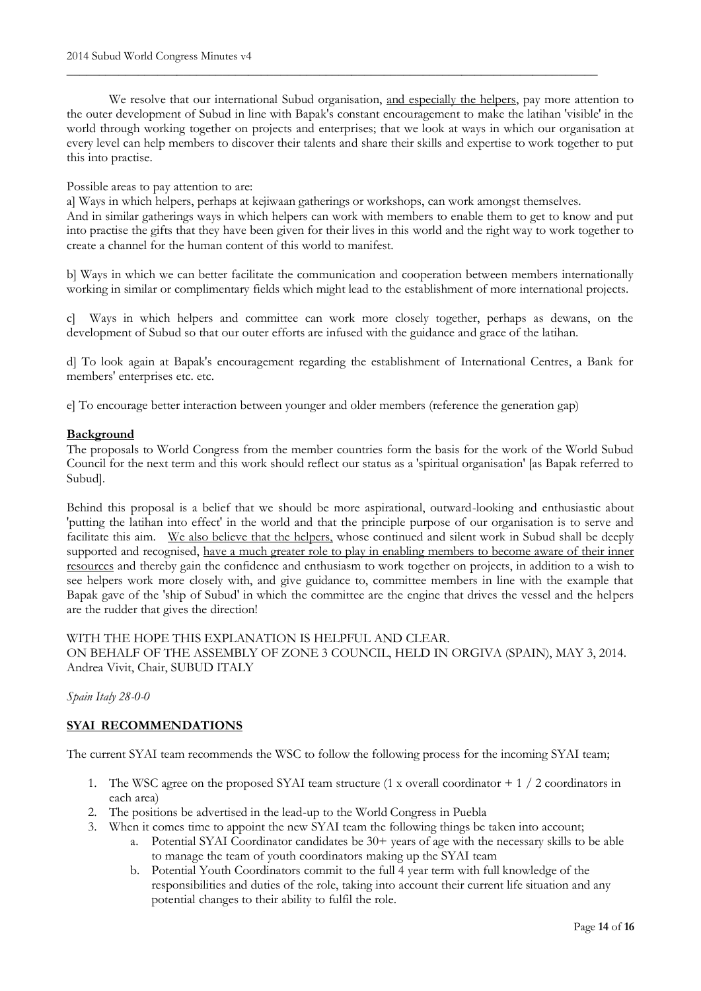We resolve that our international Subud organisation, and especially the helpers, pay more attention to the outer development of Subud in line with Bapak's constant encouragement to make the latihan 'visible' in the world through working together on projects and enterprises; that we look at ways in which our organisation at every level can help members to discover their talents and share their skills and expertise to work together to put this into practise.

\_\_\_\_\_\_\_\_\_\_\_\_\_\_\_\_\_\_\_\_\_\_\_\_\_\_\_\_\_\_\_\_\_\_\_\_\_\_\_\_\_\_\_\_\_\_\_\_\_\_\_\_\_\_\_\_\_\_\_\_\_\_\_\_\_\_\_\_\_\_\_\_\_\_\_\_\_\_\_\_\_\_

## Possible areas to pay attention to are:

a] Ways in which helpers, perhaps at kejiwaan gatherings or workshops, can work amongst themselves. And in similar gatherings ways in which helpers can work with members to enable them to get to know and put into practise the gifts that they have been given for their lives in this world and the right way to work together to create a channel for the human content of this world to manifest.

b] Ways in which we can better facilitate the communication and cooperation between members internationally working in similar or complimentary fields which might lead to the establishment of more international projects.

c] Ways in which helpers and committee can work more closely together, perhaps as dewans, on the development of Subud so that our outer efforts are infused with the guidance and grace of the latihan.

d] To look again at Bapak's encouragement regarding the establishment of International Centres, a Bank for members' enterprises etc. etc.

e] To encourage better interaction between younger and older members (reference the generation gap)

## **Background**

The proposals to World Congress from the member countries form the basis for the work of the World Subud Council for the next term and this work should reflect our status as a 'spiritual organisation' [as Bapak referred to Subud].

Behind this proposal is a belief that we should be more aspirational, outward-looking and enthusiastic about 'putting the latihan into effect' in the world and that the principle purpose of our organisation is to serve and facilitate this aim. We also believe that the helpers, whose continued and silent work in Subud shall be deeply supported and recognised, have a much greater role to play in enabling members to become aware of their inner resources and thereby gain the confidence and enthusiasm to work together on projects, in addition to a wish to see helpers work more closely with, and give guidance to, committee members in line with the example that Bapak gave of the 'ship of Subud' in which the committee are the engine that drives the vessel and the helpers are the rudder that gives the direction!

## WITH THE HOPE THIS EXPLANATION IS HELPFUL AND CLEAR.

ON BEHALF OF THE ASSEMBLY OF ZONE 3 COUNCIL, HELD IN ORGIVA (SPAIN), MAY 3, 2014. Andrea Vivit, Chair, SUBUD ITALY

#### *Spain Italy 28-0-0*

## **SYAI RECOMMENDATIONS**

The current SYAI team recommends the WSC to follow the following process for the incoming SYAI team;

- 1. The WSC agree on the proposed SYAI team structure (1 x overall coordinator + 1 / 2 coordinators in each area)
- 2. The positions be advertised in the lead-up to the World Congress in Puebla
- 3. When it comes time to appoint the new SYAI team the following things be taken into account;
	- a. Potential SYAI Coordinator candidates be 30+ years of age with the necessary skills to be able to manage the team of youth coordinators making up the SYAI team
	- b. Potential Youth Coordinators commit to the full 4 year term with full knowledge of the responsibilities and duties of the role, taking into account their current life situation and any potential changes to their ability to fulfil the role.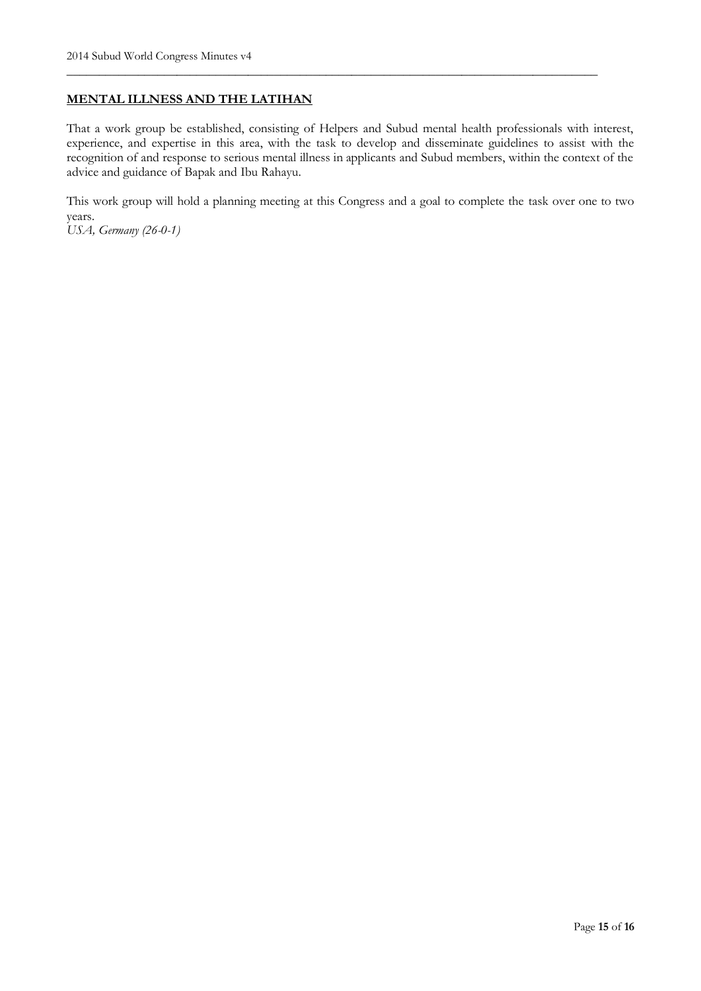## **MENTAL ILLNESS AND THE LATIHAN**

That a work group be established, consisting of Helpers and Subud mental health professionals with interest, experience, and expertise in this area, with the task to develop and disseminate guidelines to assist with the recognition of and response to serious mental illness in applicants and Subud members, within the context of the advice and guidance of Bapak and Ibu Rahayu.

\_\_\_\_\_\_\_\_\_\_\_\_\_\_\_\_\_\_\_\_\_\_\_\_\_\_\_\_\_\_\_\_\_\_\_\_\_\_\_\_\_\_\_\_\_\_\_\_\_\_\_\_\_\_\_\_\_\_\_\_\_\_\_\_\_\_\_\_\_\_\_\_\_\_\_\_\_\_\_\_\_\_

This work group will hold a planning meeting at this Congress and a goal to complete the task over one to two years.

*USA, Germany (26-0-1)*